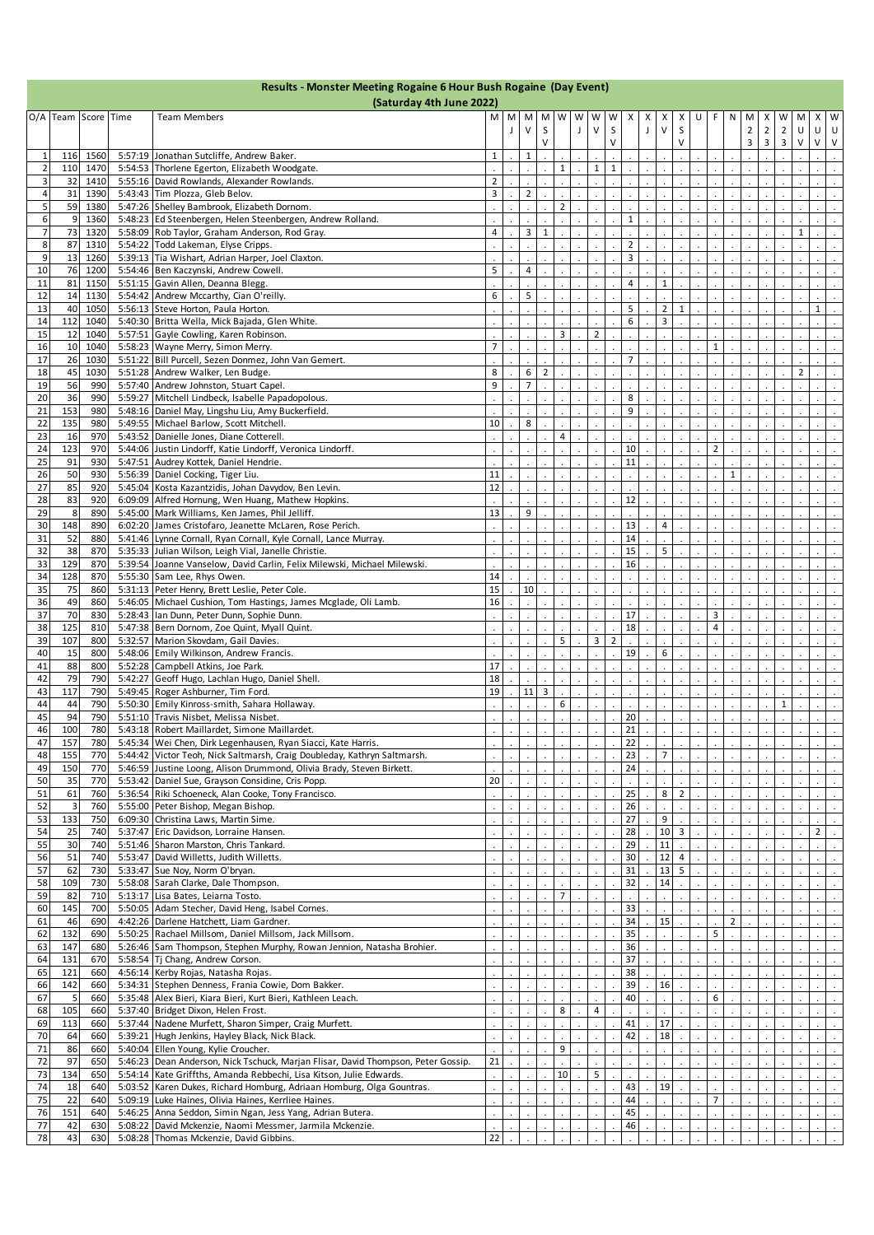| Results - Monster Meeting Rogaine 6 Hour Bush Rogaine (Day Event)<br>(Saturday 4th June 2022) |                         |           |                     |         |                                                                                                                    |                |   |                     |              |                |   |                |                |                |             |                |                |   |                |                |                                  |                               |                  |                |                   |                   |
|-----------------------------------------------------------------------------------------------|-------------------------|-----------|---------------------|---------|--------------------------------------------------------------------------------------------------------------------|----------------|---|---------------------|--------------|----------------|---|----------------|----------------|----------------|-------------|----------------|----------------|---|----------------|----------------|----------------------------------|-------------------------------|------------------|----------------|-------------------|-------------------|
|                                                                                               |                         |           |                     |         |                                                                                                                    |                |   |                     |              |                |   |                |                |                |             |                |                |   |                |                |                                  |                               |                  |                |                   |                   |
|                                                                                               |                         |           | O/A Team Score Time |         | <b>Team Members</b>                                                                                                | M              | M | $\vee$              | M M          | W              | W | W<br>$\vee$    | W              | X              | Х           | Х              | х              | U | F.             | N              | M                                | X                             | W                | M              | х                 | W                 |
|                                                                                               |                         |           |                     |         |                                                                                                                    |                | J |                     | S<br>V       |                | J |                | S<br>$\vee$    |                | $\mathsf J$ | $\mathsf{V}$   | S<br>$\vee$    |   |                |                | $\overline{2}$<br>$\overline{3}$ | $\mathbf 2$<br>$\overline{3}$ | $\mathbf 2$<br>3 | U<br>$\vee$    | U<br>$\mathsf{V}$ | U<br>$\mathsf{V}$ |
|                                                                                               | $\mathbf{1}$            | 116       | 1560                |         | 5:57:19 Jonathan Sutcliffe, Andrew Baker.                                                                          | $\mathbf{1}$   |   | $\mathbf{1}$        |              |                |   |                |                |                |             |                |                |   |                |                |                                  |                               |                  |                |                   |                   |
|                                                                                               | $\overline{\mathbf{z}}$ | 110       | 1470                |         | 5:54:53 Thorlene Egerton, Elizabeth Woodgate.                                                                      |                |   |                     |              | $\mathbf{1}$   |   | $\mathbf{1}$   | $\mathbf{1}$   |                |             |                |                |   |                |                |                                  |                               |                  |                |                   |                   |
|                                                                                               | 3                       | 32        | 1410                |         | 5:55:16 David Rowlands, Alexander Rowlands.                                                                        | $\overline{2}$ |   |                     |              |                |   |                |                |                |             |                |                |   |                |                |                                  |                               |                  |                |                   |                   |
|                                                                                               | $\overline{4}$          | 31        | 1390                |         | 5:43:43 Tim Plozza, Gleb Belov.                                                                                    | 3              |   | $\overline{2}$      |              |                |   |                |                |                |             |                |                |   |                |                |                                  |                               |                  |                |                   |                   |
|                                                                                               | 5                       | 59        | 1380                |         | 5:47:26 Shelley Bambrook, Elizabeth Dornom.                                                                        |                |   |                     |              | $\overline{2}$ |   |                |                |                |             |                |                |   |                |                |                                  |                               |                  |                |                   |                   |
|                                                                                               | 6                       | 9         | 1360                |         | 5:48:23 Ed Steenbergen, Helen Steenbergen, Andrew Rolland.                                                         |                |   |                     |              |                |   |                |                | $\mathbf{1}$   |             |                |                |   |                |                |                                  |                               |                  |                |                   |                   |
|                                                                                               | $\overline{7}$          | 73        | 1320                |         | 5:58:09 Rob Taylor, Graham Anderson, Rod Gray.                                                                     | 4              |   | 3                   | $\mathbf{1}$ |                |   |                |                | $\overline{2}$ |             |                |                |   |                |                |                                  |                               |                  | $\mathbf 1$    |                   |                   |
|                                                                                               | 8<br>9                  | 87<br>13  | 1310<br>1260        |         | 5:54:22 Todd Lakeman, Elyse Cripps.<br>5:39:13 Tia Wishart, Adrian Harper, Joel Claxton.                           |                |   |                     |              |                |   |                |                | 3              |             |                |                |   |                |                |                                  |                               |                  |                |                   |                   |
|                                                                                               | 10                      | 76        | 1200                |         | 5:54:46 Ben Kaczynski, Andrew Cowell.                                                                              | 5              |   | 4                   |              |                |   |                |                |                |             |                |                |   |                |                |                                  |                               |                  |                |                   |                   |
|                                                                                               | 11                      | 81        | 1150                |         | 5:51:15 Gavin Allen, Deanna Blegg.                                                                                 |                |   |                     |              |                |   |                |                | 4              |             | $\mathbf{1}$   |                |   |                |                |                                  |                               |                  |                |                   |                   |
|                                                                                               | 12                      | 14        | 1130                |         | 5:54:42 Andrew Mccarthy, Cian O'reilly.                                                                            | 6              |   | 5                   |              |                |   |                |                |                |             |                |                |   |                |                |                                  |                               |                  |                |                   |                   |
|                                                                                               | 13                      | 40        | 1050                |         | 5:56:13 Steve Horton, Paula Horton.                                                                                |                |   |                     |              |                |   |                |                | 5              |             | $\overline{2}$ | $\mathbf{1}$   |   |                |                |                                  |                               |                  |                | $1\,$             |                   |
|                                                                                               | 14                      | 112       | 1040                |         | 5:40:30 Britta Wella, Mick Bajada, Glen White.                                                                     |                |   |                     |              |                |   |                |                | 6              |             | 3              |                |   |                |                |                                  |                               |                  |                |                   |                   |
|                                                                                               | 15                      | 12        | 1040                |         | 5:57:51 Gayle Cowling, Karen Robinson.                                                                             |                |   |                     |              | 3              |   | $\overline{2}$ |                |                |             |                |                |   |                |                |                                  |                               |                  |                |                   |                   |
|                                                                                               | 16                      | 10        | 1040                |         | 5:58:23 Wayne Merry, Simon Merry.                                                                                  | 7              |   |                     |              |                |   |                |                |                |             |                |                |   | 1              |                |                                  |                               |                  |                |                   |                   |
|                                                                                               | 17                      | 26        | 1030                |         | 5:51:22 Bill Purcell, Sezen Donmez, John Van Gemert.                                                               |                |   |                     |              |                |   |                |                | $\overline{7}$ |             |                |                |   |                |                |                                  |                               |                  |                |                   |                   |
|                                                                                               | 18                      | 45<br>56  | 1030                |         | 5:51:28 Andrew Walker, Len Budge.                                                                                  | 8<br>9         |   | 6<br>$\overline{7}$ | 2            |                |   |                |                |                |             |                |                |   |                |                |                                  |                               |                  | $\overline{2}$ |                   |                   |
|                                                                                               | 19<br>20                | 36        | 990<br>990          |         | 5:57:40 Andrew Johnston, Stuart Capel.<br>5:59:27 Mitchell Lindbeck, Isabelle Papadopolous.                        |                |   |                     |              |                |   |                |                | 8              |             |                |                |   |                |                |                                  |                               |                  |                |                   |                   |
|                                                                                               | 21                      | 153       | 980                 |         | 5:48:16 Daniel May, Lingshu Liu, Amy Buckerfield.                                                                  |                |   |                     |              |                |   |                |                | 9              |             |                |                |   |                |                |                                  |                               |                  |                |                   |                   |
|                                                                                               | 22                      | 135       | 980                 |         | 5:49:55 Michael Barlow, Scott Mitchell.                                                                            | 10             |   | 8                   |              |                |   |                |                |                |             |                |                |   |                |                |                                  |                               |                  |                |                   |                   |
|                                                                                               | 23                      | 16        | 970                 |         | 5:43:52 Danielle Jones, Diane Cotterell.                                                                           |                |   |                     |              | 4              |   |                |                |                |             |                |                |   |                |                |                                  |                               |                  |                |                   |                   |
|                                                                                               | 24                      | 123       | 970                 |         | 5:44:06 Justin Lindorff, Katie Lindorff, Veronica Lindorff.                                                        |                |   |                     |              |                |   |                |                | 10             |             |                |                |   | $\overline{2}$ |                |                                  |                               |                  |                |                   |                   |
|                                                                                               | 25                      | 91        | 930                 |         | 5:47:51 Audrey Kottek, Daniel Hendrie.                                                                             |                |   |                     |              |                |   |                |                | 11             |             |                |                |   |                |                |                                  |                               |                  |                |                   |                   |
|                                                                                               | 26                      | 50        | 930                 |         | 5:56:39 Daniel Cocking, Tiger Liu.                                                                                 | 11             |   |                     |              |                |   |                |                |                |             |                |                |   |                | $\mathbf{1}$   |                                  |                               |                  |                |                   |                   |
|                                                                                               | 27                      | 85        | 920                 |         | 5:45:04 Kosta Kazantzidis, Johan Davydov, Ben Levin.                                                               | 12             |   |                     |              |                |   |                |                |                |             |                |                |   |                |                |                                  |                               |                  |                |                   |                   |
|                                                                                               | 28                      | 83        | 920                 |         | 6:09:09 Alfred Hornung, Wen Huang, Mathew Hopkins.                                                                 |                |   |                     |              |                |   |                |                | 12             |             |                |                |   |                |                |                                  |                               |                  |                |                   |                   |
|                                                                                               | 29                      | 8         | 890                 |         | 5:45:00 Mark Williams, Ken James, Phil Jelliff.                                                                    | 13             |   | 9                   |              |                |   |                |                |                |             |                |                |   |                |                |                                  |                               |                  |                |                   |                   |
|                                                                                               | 30                      | 148       | 890                 | 6:02:20 | James Cristofaro, Jeanette McLaren, Rose Perich.                                                                   |                |   |                     |              |                |   |                |                | 13             |             | 4              |                |   |                |                |                                  |                               |                  |                |                   |                   |
|                                                                                               | 31<br>32                | 52<br>38  | 880<br>870          | 5:35:33 | 5:41:46 Lynne Cornall, Ryan Cornall, Kyle Cornall, Lance Murray.<br>Julian Wilson, Leigh Vial, Janelle Christie.   |                |   |                     |              |                |   |                |                | 14<br>15       |             | 5              |                |   |                |                |                                  |                               |                  |                |                   |                   |
|                                                                                               | 33                      | 129       | 870                 |         | 5:39:54 Joanne Vanselow, David Carlin, Felix Milewski, Michael Milewski.                                           |                |   |                     |              |                |   |                |                | 16             |             |                |                |   |                |                |                                  |                               |                  |                |                   |                   |
|                                                                                               | 34                      | 128       | 870                 |         | 5:55:30 Sam Lee, Rhys Owen.                                                                                        | 14             |   |                     |              |                |   |                |                |                |             |                |                |   |                |                |                                  |                               |                  |                |                   |                   |
|                                                                                               | 35                      | 75        | 860                 |         | 5:31:13 Peter Henry, Brett Leslie, Peter Cole.                                                                     | 15             |   | 10                  |              |                |   |                |                |                |             |                |                |   |                |                |                                  |                               |                  |                |                   |                   |
|                                                                                               | 36                      | 49        | 860                 |         | 5:46:05 Michael Cushion, Tom Hastings, James Mcglade, Oli Lamb.                                                    | 16             |   |                     |              |                |   |                |                |                |             |                |                |   |                |                |                                  |                               |                  |                |                   |                   |
|                                                                                               | 37                      | 70        | 830                 |         | 5:28:43 Ian Dunn, Peter Dunn, Sophie Dunn.                                                                         |                |   |                     |              |                |   |                |                | 17             |             |                |                |   | 3              |                |                                  |                               |                  |                |                   |                   |
|                                                                                               | 38                      | 125       | 810                 |         | 5:47:38 Bern Dornom, Zoe Quint, Myall Quint.                                                                       |                |   |                     |              |                |   |                |                | 18             |             |                |                |   | $\sqrt{4}$     |                |                                  |                               |                  |                |                   |                   |
|                                                                                               | 39                      | 107       | 800                 |         | 5:32:57 Marion Skovdam, Gail Davies.                                                                               |                |   |                     |              | 5              |   | 3              | $\overline{2}$ |                |             |                |                |   |                |                |                                  |                               |                  |                |                   |                   |
|                                                                                               | 40                      | 15        | 800                 |         | 5:48:06 Emily Wilkinson, Andrew Francis.                                                                           |                |   |                     |              |                |   |                |                | 19             |             | 6              |                |   |                |                |                                  |                               |                  |                |                   |                   |
|                                                                                               | 41                      | 88        | 800                 |         | 5:52:28 Campbell Atkins. Joe Park.                                                                                 | 17             |   |                     |              |                |   |                |                |                |             |                |                |   |                |                |                                  |                               |                  |                |                   |                   |
|                                                                                               | 42                      | 79        | 790                 |         | 5:42:27 Geoff Hugo, Lachlan Hugo, Daniel Shell.                                                                    | 18             |   |                     |              |                |   |                |                |                |             |                |                |   |                |                |                                  |                               |                  |                |                   |                   |
|                                                                                               | 43<br>44                | 117<br>44 | 790<br>790          |         | 5:49:45 Roger Ashburner, Tim Ford.<br>5:50:30 Emily Kinross-smith, Sahara Hollaway.                                | 19             |   | 11                  | 3            | 6              |   |                |                |                |             |                |                |   |                |                |                                  |                               | $\mathbf{1}$     |                |                   |                   |
|                                                                                               | 45                      | 94        | 790                 |         | 5:51:10 Travis Nisbet, Melissa Nisbet.                                                                             |                |   |                     |              |                |   |                |                | 20             |             |                |                |   |                |                |                                  |                               |                  |                |                   |                   |
|                                                                                               | 46                      | 100       | 780                 |         | 5:43:18 Robert Maillardet, Simone Maillardet.                                                                      |                |   |                     |              |                |   |                |                | 21             |             |                |                |   |                |                |                                  |                               |                  |                |                   |                   |
|                                                                                               | 47                      | 157       | 780                 |         | 5:45:34 [Wei Chen, Dirk Legenhausen, Ryan Siacci, Kate Harris.                                                     |                |   |                     |              |                |   |                |                |                |             |                |                |   |                |                |                                  |                               |                  |                |                   |                   |
|                                                                                               | 48                      | 155       | 770                 |         | 5:44:42 Victor Teoh, Nick Saltmarsh, Craig Doubleday, Kathryn Saltmarsh.                                           |                |   |                     |              |                |   |                |                | 23             |             | $\overline{7}$ |                |   |                |                |                                  |                               |                  |                |                   |                   |
|                                                                                               | 49                      | 150       | 770                 |         | 5:46:59 Justine Loong, Alison Drummond, Olivia Brady, Steven Birkett.                                              |                |   |                     |              |                |   |                |                | 24             |             |                |                |   |                |                |                                  |                               |                  |                |                   |                   |
|                                                                                               | 50                      | 35        | 770                 |         | 5:53:42 Daniel Sue, Grayson Considine, Cris Popp.                                                                  | 20             |   |                     |              |                |   |                |                |                |             |                |                |   |                |                |                                  |                               |                  |                |                   |                   |
|                                                                                               | 51                      | 61        | 760                 |         | 5:36:54 Riki Schoeneck, Alan Cooke, Tony Francisco.                                                                |                |   |                     |              |                |   |                |                | 25             |             | 8              | $\overline{2}$ |   |                |                |                                  |                               |                  |                |                   |                   |
|                                                                                               | 52                      | 3         | 760                 |         | 5:55:00 Peter Bishop, Megan Bishop.                                                                                |                |   |                     |              |                |   |                |                | 26             |             |                |                |   |                |                |                                  |                               |                  |                |                   |                   |
|                                                                                               | 53                      | 133       | 750                 |         | 6:09:30 Christina Laws, Martin Sime.                                                                               |                |   |                     |              |                |   |                |                | 27             |             | 9              |                |   |                |                |                                  |                               |                  |                |                   |                   |
|                                                                                               | 54<br>55                | 25<br>30  | 740<br>740          |         | 5:37:47 Eric Davidson, Lorraine Hansen.<br>5:51:46 Sharon Marston, Chris Tankard.                                  |                |   |                     |              |                |   |                |                | 28<br>29       |             | 10<br>11       | 3              |   |                |                |                                  |                               |                  |                | 2                 | $\mathcal{L}$     |
|                                                                                               | 56                      | 51        | 740                 |         | 5:53:47 David Willetts, Judith Willetts.                                                                           |                |   |                     |              |                |   |                |                | 30             |             | 12             | 4              |   |                |                |                                  |                               |                  |                |                   |                   |
|                                                                                               | 57                      | 62        | 730                 |         | 5:33:47 Sue Noy, Norm O'bryan.                                                                                     |                |   |                     |              |                |   |                |                | 31             |             | 13             | 5              |   |                |                |                                  |                               |                  |                |                   |                   |
|                                                                                               | 58                      | 109       | 730                 |         | 5:58:08 Sarah Clarke, Dale Thompson.                                                                               |                |   |                     |              |                |   |                |                | 32             |             | 14             |                |   |                |                |                                  |                               |                  |                |                   | $\mathcal{L}$     |
|                                                                                               | 59                      | 82        | 710                 |         | 5:13:17 Lisa Bates, Leiarna Tosto.                                                                                 |                |   |                     |              | $\overline{7}$ |   |                |                |                |             |                |                |   |                |                |                                  |                               |                  |                |                   |                   |
|                                                                                               | 60                      | 145       | 700                 |         | 5:50:05 Adam Stecher, David Heng, Isabel Cornes.                                                                   |                |   |                     |              |                |   |                |                | 33             |             |                |                |   |                |                |                                  |                               |                  |                |                   |                   |
|                                                                                               | 61                      | 46        | 690                 |         | 4:42:26 Darlene Hatchett, Liam Gardner.                                                                            |                |   |                     |              |                |   |                |                | 34             |             | 15             |                |   |                | $\overline{2}$ |                                  |                               |                  |                |                   |                   |
|                                                                                               | 62                      | 132       | 690                 |         | 5:50:25 Rachael Millsom, Daniel Millsom, Jack Millsom.                                                             |                |   |                     |              |                |   |                |                | 35             |             |                |                |   | 5              |                |                                  |                               |                  |                |                   |                   |
|                                                                                               | 63                      | 147       | 680                 |         | 5:26:46 Sam Thompson, Stephen Murphy, Rowan Jennion, Natasha Brohier.                                              |                |   |                     |              |                |   |                |                | 36             |             |                |                |   |                |                |                                  |                               |                  |                |                   |                   |
|                                                                                               | 64                      | 131       | 670                 |         | 5:58:54 Tj Chang, Andrew Corson.                                                                                   |                |   |                     |              |                |   |                |                | 37             |             |                |                |   |                |                |                                  |                               |                  |                |                   |                   |
|                                                                                               | 65                      | 121       | 660                 |         | 4:56:14 Kerby Rojas, Natasha Rojas.                                                                                |                |   |                     |              |                |   |                |                | 38             |             |                |                |   |                |                |                                  |                               |                  |                |                   |                   |
|                                                                                               | 66<br>67                | 142<br>5  | 660<br>660          |         | 5:34:31 Stephen Denness, Frania Cowie, Dom Bakker.<br>5:35:48 Alex Bieri, Kiara Bieri, Kurt Bieri, Kathleen Leach. |                |   |                     |              |                |   |                |                | 39<br>40       |             | 16             |                |   | 6              |                |                                  |                               |                  |                |                   | $\mathcal{L}$     |
|                                                                                               | 68                      | 105       | 660                 |         | 5:37:40 Bridget Dixon, Helen Frost.                                                                                |                |   |                     |              | 8              |   | 4              |                |                |             |                |                |   |                |                |                                  |                               |                  |                |                   |                   |
|                                                                                               | 69                      | 113       | 660                 |         | 5:37:44 Nadene Murfett, Sharon Simper, Craig Murfett.                                                              |                |   |                     |              |                |   |                |                | 41             |             | 17             |                |   |                |                |                                  |                               |                  |                |                   |                   |
|                                                                                               | 70                      | 64        | 660                 |         | 5:39:21 Hugh Jenkins, Hayley Black, Nick Black.                                                                    |                |   |                     |              |                |   |                |                | 42             |             | 18             |                |   |                |                |                                  |                               |                  |                |                   |                   |
|                                                                                               | 71                      | 86        | 660                 |         | 5:40:04 Ellen Young, Kylie Croucher.                                                                               |                |   |                     |              | 9              |   |                |                |                |             |                |                |   |                |                |                                  |                               |                  |                |                   |                   |
|                                                                                               | 72                      | 97        | 650                 | 5:46:23 | Dean Anderson, Nick Tschuck, Marjan Flisar, David Thompson, Peter Gossip.                                          | 21             |   |                     |              |                |   |                |                |                |             |                |                |   |                |                |                                  |                               |                  |                |                   |                   |
|                                                                                               | 73                      | 134       | 650                 |         | 5:54:14 Kate Griffths, Amanda Rebbechi, Lisa Kitson, Julie Edwards.                                                |                |   |                     |              | 10             |   | 5              |                |                |             |                |                |   |                |                |                                  |                               |                  |                |                   |                   |
|                                                                                               | 74                      | 18        | 640                 | 5:03:52 | Karen Dukes, Richard Homburg, Adriaan Homburg, Olga Gountras.                                                      |                |   |                     |              |                |   |                |                | 43             |             | 19             |                |   |                |                |                                  |                               |                  |                |                   |                   |
|                                                                                               | 75                      | 22        | 640                 |         | 5:09:19 Luke Haines, Olivia Haines, Kerrliee Haines.                                                               |                |   |                     |              |                |   |                |                | 44             |             |                |                |   | $\overline{7}$ |                |                                  |                               |                  |                |                   |                   |
|                                                                                               | 76                      | 151       | 640                 |         | 5:46:25 Anna Seddon, Simin Ngan, Jess Yang, Adrian Butera.                                                         |                |   |                     |              |                |   |                |                | 45             |             |                |                |   |                |                |                                  |                               |                  |                |                   |                   |
|                                                                                               | 77                      | 42<br>43  | 630                 |         | 5:08:22 David Mckenzie, Naomi Messmer, Jarmila Mckenzie.                                                           | 22             |   |                     |              |                |   |                |                | 46             |             |                |                |   |                |                |                                  |                               |                  |                |                   |                   |
|                                                                                               | 78                      |           | 630                 |         | 5:08:28 Thomas Mckenzie, David Gibbins.                                                                            |                |   |                     |              |                |   |                |                |                |             |                |                |   |                |                |                                  |                               |                  |                |                   |                   |